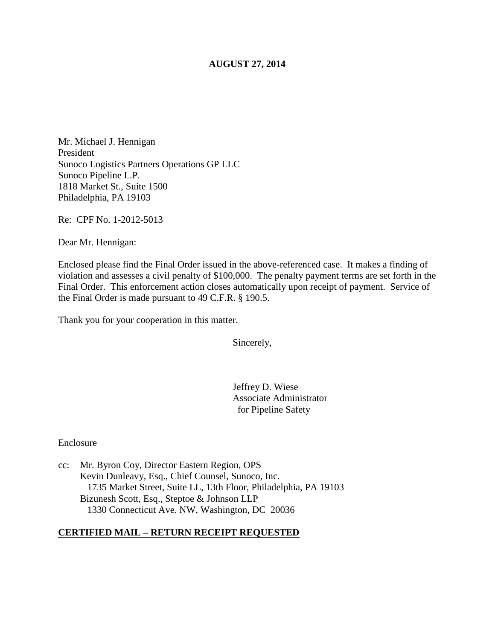## **AUGUST 27, 2014**

Mr. Michael J. Hennigan President Sunoco Logistics Partners Operations GP LLC Sunoco Pipeline L.P. 1818 Market St., Suite 1500 Philadelphia, PA 19103

Re: CPF No. 1-2012-5013

Dear Mr. Hennigan:

Enclosed please find the Final Order issued in the above-referenced case. It makes a finding of violation and assesses a civil penalty of \$100,000. The penalty payment terms are set forth in the Final Order. This enforcement action closes automatically upon receipt of payment. Service of the Final Order is made pursuant to 49 C.F.R. § 190.5.

Thank you for your cooperation in this matter.

Sincerely,

Jeffrey D. Wiese Associate Administrator for Pipeline Safety

Enclosure

cc: Mr. Byron Coy, Director Eastern Region, OPS Kevin Dunleavy, Esq., Chief Counsel, Sunoco, Inc. 1735 Market Street, Suite LL, 13th Floor, Philadelphia, PA 19103 Bizunesh Scott, Esq., Steptoe & Johnson LLP 1330 Connecticut Ave. NW, Washington, DC 20036

## **CERTIFIED MAIL – RETURN RECEIPT REQUESTED**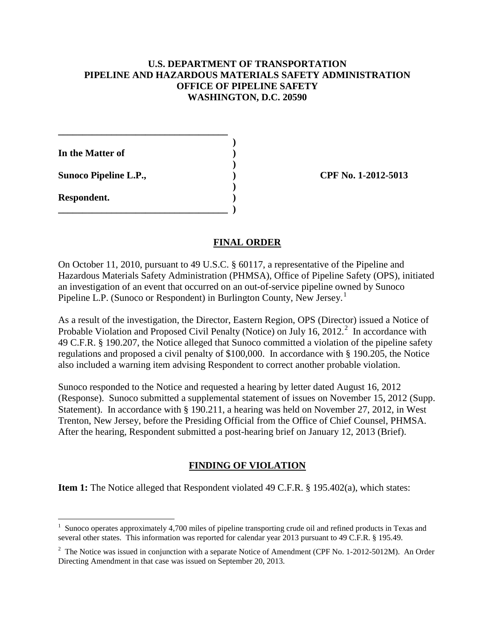## **U.S. DEPARTMENT OF TRANSPORTATION PIPELINE AND HAZARDOUS MATERIALS SAFETY ADMINISTRATION OFFICE OF PIPELINE SAFETY WASHINGTON, D.C. 20590**

 **) In the Matter of ) )** 

**\_\_\_\_\_\_\_\_\_\_\_\_\_\_\_\_\_\_\_\_\_\_\_\_\_\_\_\_\_\_\_\_\_\_\_** 

 **)** 

**\_\_\_\_\_\_\_\_\_\_\_\_\_\_\_\_\_\_\_\_\_\_\_\_\_\_\_\_\_\_\_\_\_\_\_ )** 

**Sunoco Pipeline L.P., ) CPF No. 1-2012-5013** 

**Respondent. )** 

# **FINAL ORDER**

On October 11, 2010, pursuant to 49 U.S.C. § 60117, a representative of the Pipeline and Hazardous Materials Safety Administration (PHMSA), Office of Pipeline Safety (OPS), initiated an investigation of an event that occurred on an out-of-service pipeline owned by Sunoco Pipeline L.P. (Sunoco or Respondent) in Burlington County, New Jersey.<sup>1</sup>

As a result of the investigation, the Director, Eastern Region, OPS (Director) issued a Notice of Probable Violation and Proposed Civil Penalty (Notice) on July 16, 2012.<sup>2</sup> In accordance with 49 C.F.R. § 190.207, the Notice alleged that Sunoco committed a violation of the pipeline safety regulations and proposed a civil penalty of \$100,000. In accordance with § 190.205, the Notice also included a warning item advising Respondent to correct another probable violation.

Sunoco responded to the Notice and requested a hearing by letter dated August 16, 2012 (Response). Sunoco submitted a supplemental statement of issues on November 15, 2012 (Supp. Statement). In accordance with § 190.211, a hearing was held on November 27, 2012, in West Trenton, New Jersey, before the Presiding Official from the Office of Chief Counsel, PHMSA. After the hearing, Respondent submitted a post-hearing brief on January 12, 2013 (Brief).

# **FINDING OF VIOLATION**

**Item 1:** The Notice alleged that Respondent violated 49 C.F.R. § 195.402(a), which states:

 $\overline{a}$ 1 Sunoco operates approximately 4,700 miles of pipeline transporting crude oil and refined products in Texas and several other states. This information was reported for calendar year 2013 pursuant to 49 C.F.R. § 195.49.

<sup>&</sup>lt;sup>2</sup> The Notice was issued in conjunction with a separate Notice of Amendment (CPF No. 1-2012-5012M). An Order Directing Amendment in that case was issued on September 20, 2013.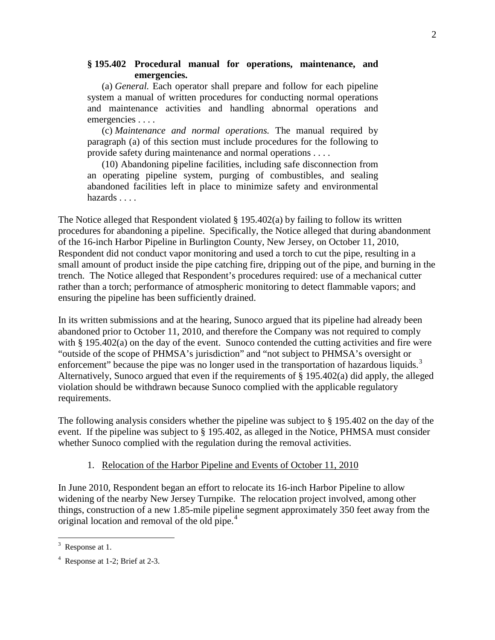### **§ 195.402 Procedural manual for operations, maintenance, and emergencies.**

(a) *General.* Each operator shall prepare and follow for each pipeline system a manual of written procedures for conducting normal operations and maintenance activities and handling abnormal operations and emergencies . . . .

(c) *Maintenance and normal operations.* The manual required by paragraph (a) of this section must include procedures for the following to provide safety during maintenance and normal operations . . . .

(10) Abandoning pipeline facilities, including safe disconnection from an operating pipeline system, purging of combustibles, and sealing abandoned facilities left in place to minimize safety and environmental hazards . . . .

The Notice alleged that Respondent violated § 195.402(a) by failing to follow its written procedures for abandoning a pipeline. Specifically, the Notice alleged that during abandonment of the 16-inch Harbor Pipeline in Burlington County, New Jersey, on October 11, 2010, Respondent did not conduct vapor monitoring and used a torch to cut the pipe, resulting in a small amount of product inside the pipe catching fire, dripping out of the pipe, and burning in the trench. The Notice alleged that Respondent's procedures required: use of a mechanical cutter rather than a torch; performance of atmospheric monitoring to detect flammable vapors; and ensuring the pipeline has been sufficiently drained.

In its written submissions and at the hearing, Sunoco argued that its pipeline had already been abandoned prior to October 11, 2010, and therefore the Company was not required to comply with § 195.402(a) on the day of the event. Sunoco contended the cutting activities and fire were "outside of the scope of PHMSA's jurisdiction" and "not subject to PHMSA's oversight or enforcement" because the pipe was no longer used in the transportation of hazardous liquids.<sup>3</sup> Alternatively, Sunoco argued that even if the requirements of § 195.402(a) did apply, the alleged violation should be withdrawn because Sunoco complied with the applicable regulatory requirements.

The following analysis considers whether the pipeline was subject to § 195.402 on the day of the event. If the pipeline was subject to § 195.402, as alleged in the Notice, PHMSA must consider whether Sunoco complied with the regulation during the removal activities.

## 1. Relocation of the Harbor Pipeline and Events of October 11, 2010

In June 2010, Respondent began an effort to relocate its 16-inch Harbor Pipeline to allow widening of the nearby New Jersey Turnpike. The relocation project involved, among other things, construction of a new 1.85-mile pipeline segment approximately 350 feet away from the original location and removal of the old pipe.<sup>4</sup>

 $3$  Response at 1.

<sup>4</sup> Response at 1-2; Brief at 2-3.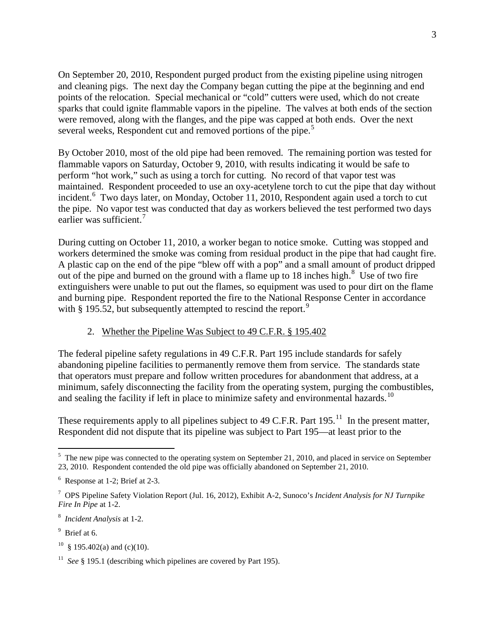On September 20, 2010, Respondent purged product from the existing pipeline using nitrogen and cleaning pigs. The next day the Company began cutting the pipe at the beginning and end points of the relocation. Special mechanical or "cold" cutters were used, which do not create sparks that could ignite flammable vapors in the pipeline. The valves at both ends of the section were removed, along with the flanges, and the pipe was capped at both ends. Over the next several weeks, Respondent cut and removed portions of the pipe.<sup>5</sup>

By October 2010, most of the old pipe had been removed. The remaining portion was tested for flammable vapors on Saturday, October 9, 2010, with results indicating it would be safe to perform "hot work," such as using a torch for cutting. No record of that vapor test was maintained. Respondent proceeded to use an oxy-acetylene torch to cut the pipe that day without incident.<sup>6</sup> Two days later, on Monday, October 11, 2010, Respondent again used a torch to cut the pipe. No vapor test was conducted that day as workers believed the test performed two days earlier was sufficient.<sup>7</sup>

During cutting on October 11, 2010, a worker began to notice smoke. Cutting was stopped and workers determined the smoke was coming from residual product in the pipe that had caught fire. A plastic cap on the end of the pipe "blew off with a pop" and a small amount of product dripped out of the pipe and burned on the ground with a flame up to 18 inches high.<sup>8</sup> Use of two fire extinguishers were unable to put out the flames, so equipment was used to pour dirt on the flame and burning pipe. Respondent reported the fire to the National Response Center in accordance with  $\S$  195.52, but subsequently attempted to rescind the report.<sup>9</sup>

## 2. Whether the Pipeline Was Subject to 49 C.F.R. § 195.402

The federal pipeline safety regulations in 49 C.F.R. Part 195 include standards for safely abandoning pipeline facilities to permanently remove them from service. The standards state that operators must prepare and follow written procedures for abandonment that address, at a minimum, safely disconnecting the facility from the operating system, purging the combustibles, and sealing the facility if left in place to minimize safety and environmental hazards.<sup>10</sup>

These requirements apply to all pipelines subject to 49 C.F.R. Part  $195<sup>11</sup>$  In the present matter, Respondent did not dispute that its pipeline was subject to Part 195—at least prior to the

 $\overline{a}$ <sup>5</sup> The new pipe was connected to the operating system on September 21, 2010, and placed in service on September 23, 2010. Respondent contended the old pipe was officially abandoned on September 21, 2010.

<sup>6</sup> Response at 1-2; Brief at 2-3.

<sup>7</sup> OPS Pipeline Safety Violation Report (Jul. 16, 2012), Exhibit A-2, Sunoco's *Incident Analysis for NJ Turnpike Fire In Pipe* at 1-2.

<sup>8</sup> *Incident Analysis* at 1-2.

<sup>&</sup>lt;sup>9</sup> Brief at 6.

<sup>&</sup>lt;sup>10</sup> § 195.402(a) and (c)(10).

<sup>&</sup>lt;sup>11</sup> *See* § 195.1 (describing which pipelines are covered by Part 195).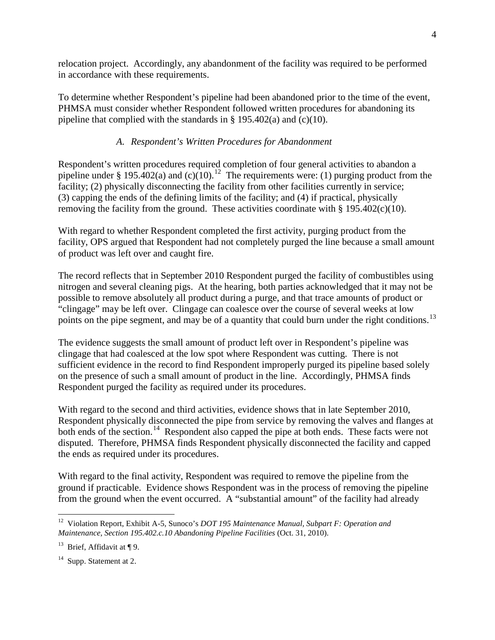relocation project. Accordingly, any abandonment of the facility was required to be performed in accordance with these requirements.

To determine whether Respondent's pipeline had been abandoned prior to the time of the event, PHMSA must consider whether Respondent followed written procedures for abandoning its pipeline that complied with the standards in  $\S$  195.402(a) and (c)(10).

# *A. Respondent's Written Procedures for Abandonment*

Respondent's written procedures required completion of four general activities to abandon a pipeline under § 195.402(a) and (c)(10).<sup>12</sup> The requirements were: (1) purging product from the facility; (2) physically disconnecting the facility from other facilities currently in service; (3) capping the ends of the defining limits of the facility; and (4) if practical, physically removing the facility from the ground. These activities coordinate with  $\S 195.402(c)(10)$ .

With regard to whether Respondent completed the first activity, purging product from the facility, OPS argued that Respondent had not completely purged the line because a small amount of product was left over and caught fire.

The record reflects that in September 2010 Respondent purged the facility of combustibles using nitrogen and several cleaning pigs. At the hearing, both parties acknowledged that it may not be possible to remove absolutely all product during a purge, and that trace amounts of product or "clingage" may be left over. Clingage can coalesce over the course of several weeks at low points on the pipe segment, and may be of a quantity that could burn under the right conditions.<sup>13</sup>

The evidence suggests the small amount of product left over in Respondent's pipeline was clingage that had coalesced at the low spot where Respondent was cutting. There is not sufficient evidence in the record to find Respondent improperly purged its pipeline based solely on the presence of such a small amount of product in the line. Accordingly, PHMSA finds Respondent purged the facility as required under its procedures.

With regard to the second and third activities, evidence shows that in late September 2010, Respondent physically disconnected the pipe from service by removing the valves and flanges at both ends of the section.<sup>14</sup> Respondent also capped the pipe at both ends. These facts were not disputed. Therefore, PHMSA finds Respondent physically disconnected the facility and capped the ends as required under its procedures.

With regard to the final activity, Respondent was required to remove the pipeline from the ground if practicable. Evidence shows Respondent was in the process of removing the pipeline from the ground when the event occurred. A "substantial amount" of the facility had already

 $\overline{a}$ <sup>12</sup> Violation Report, Exhibit A-5, Sunoco's *DOT 195 Maintenance Manual, Subpart F: Operation and Maintenance, Section 195.402.c.10 Abandoning Pipeline Facilities* (Oct. 31, 2010).

<sup>&</sup>lt;sup>13</sup> Brief, Affidavit at  $\P$  9.

<sup>&</sup>lt;sup>14</sup> Supp. Statement at 2.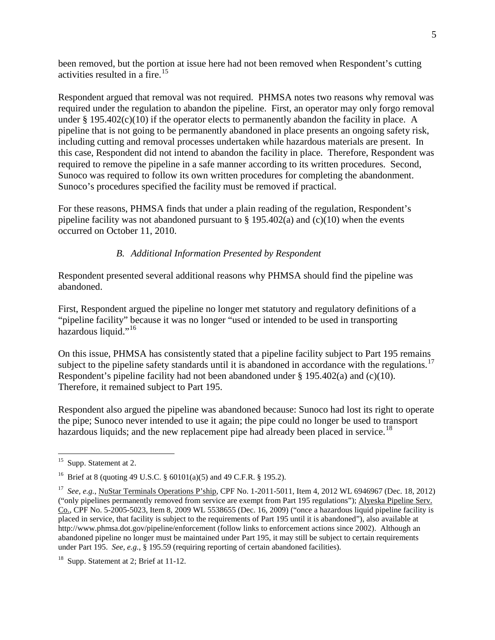been removed, but the portion at issue here had not been removed when Respondent's cutting activities resulted in a fire. 15

Respondent argued that removal was not required. PHMSA notes two reasons why removal was required under the regulation to abandon the pipeline. First, an operator may only forgo removal under  $\S 195.402(c)(10)$  if the operator elects to permanently abandon the facility in place. A pipeline that is not going to be permanently abandoned in place presents an ongoing safety risk, including cutting and removal processes undertaken while hazardous materials are present. In this case, Respondent did not intend to abandon the facility in place. Therefore, Respondent was required to remove the pipeline in a safe manner according to its written procedures. Second, Sunoco was required to follow its own written procedures for completing the abandonment. Sunoco's procedures specified the facility must be removed if practical.

For these reasons, PHMSA finds that under a plain reading of the regulation, Respondent's pipeline facility was not abandoned pursuant to  $\S$  195.402(a) and (c)(10) when the events occurred on October 11, 2010.

## *B. Additional Information Presented by Respondent*

Respondent presented several additional reasons why PHMSA should find the pipeline was abandoned.

First, Respondent argued the pipeline no longer met statutory and regulatory definitions of a "pipeline facility" because it was no longer "used or intended to be used in transporting hazardous liquid."<sup>16</sup>

On this issue, PHMSA has consistently stated that a pipeline facility subject to Part 195 remains subject to the pipeline safety standards until it is abandoned in accordance with the regulations.<sup>17</sup> Respondent's pipeline facility had not been abandoned under § 195.402(a) and (c)(10). Therefore, it remained subject to Part 195.

Respondent also argued the pipeline was abandoned because: Sunoco had lost its right to operate the pipe; Sunoco never intended to use it again; the pipe could no longer be used to transport hazardous liquids; and the new replacement pipe had already been placed in service.<sup>18</sup>

 $\overline{a}$  $15$  Supp. Statement at 2.

<sup>&</sup>lt;sup>16</sup> Brief at 8 (quoting 49 U.S.C. § 60101(a)(5) and 49 C.F.R. § 195.2).

<sup>17</sup> *See, e.g.*, NuStar Terminals Operations P'ship, CPF No. 1-2011-5011, Item 4, 2012 WL 6946967 (Dec. 18, 2012) ("only pipelines permanently removed from service are exempt from Part 195 regulations"); Alyeska Pipeline Serv. Co., CPF No. 5-2005-5023, Item 8, 2009 WL 5538655 (Dec. 16, 2009) ("once a hazardous liquid pipeline facility is placed in service, that facility is subject to the requirements of Part 195 until it is abandoned"), also available at http://www.phmsa.dot.gov/pipeline/enforcement (follow links to enforcement actions since 2002). Although an abandoned pipeline no longer must be maintained under Part 195, it may still be subject to certain requirements under Part 195. *See, e.g.*, § 195.59 (requiring reporting of certain abandoned facilities).

<sup>&</sup>lt;sup>18</sup> Supp. Statement at 2; Brief at 11-12.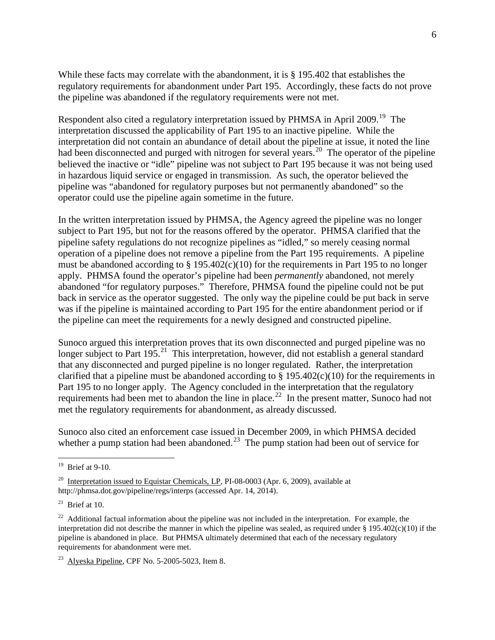While these facts may correlate with the abandonment, it is § 195.402 that establishes the regulatory requirements for abandonment under Part 195. Accordingly, these facts do not prove the pipeline was abandoned if the regulatory requirements were not met.

Respondent also cited a regulatory interpretation issued by PHMSA in April 2009.<sup>19</sup> The interpretation discussed the applicability of Part 195 to an inactive pipeline. While the interpretation did not contain an abundance of detail about the pipeline at issue, it noted the line had been disconnected and purged with nitrogen for several years.<sup>20</sup> The operator of the pipeline believed the inactive or "idle" pipeline was not subject to Part 195 because it was not being used in hazardous liquid service or engaged in transmission. As such, the operator believed the pipeline was "abandoned for regulatory purposes but not permanently abandoned" so the operator could use the pipeline again sometime in the future.

In the written interpretation issued by PHMSA, the Agency agreed the pipeline was no longer subject to Part 195, but not for the reasons offered by the operator. PHMSA clarified that the pipeline safety regulations do not recognize pipelines as "idled," so merely ceasing normal operation of a pipeline does not remove a pipeline from the Part 195 requirements. A pipeline must be abandoned according to  $\S 195.402(c)(10)$  for the requirements in Part 195 to no longer apply. PHMSA found the operator's pipeline had been *permanently* abandoned, not merely abandoned "for regulatory purposes." Therefore, PHMSA found the pipeline could not be put back in service as the operator suggested. The only way the pipeline could be put back in serve was if the pipeline is maintained according to Part 195 for the entire abandonment period or if the pipeline can meet the requirements for a newly designed and constructed pipeline.

Sunoco argued this interpretation proves that its own disconnected and purged pipeline was no longer subject to Part  $195<sup>21</sup>$ . This interpretation, however, did not establish a general standard that any disconnected and purged pipeline is no longer regulated. Rather, the interpretation clarified that a pipeline must be abandoned according to  $\S 195.402(c)(10)$  for the requirements in Part 195 to no longer apply. The Agency concluded in the interpretation that the regulatory requirements had been met to abandon the line in place.<sup>22</sup> In the present matter, Sunoco had not met the regulatory requirements for abandonment, as already discussed.

Sunoco also cited an enforcement case issued in December 2009, in which PHMSA decided whether a pump station had been abandoned.<sup>23</sup> The pump station had been out of service for

 $\overline{a}$ 

 $19$  Brief at 9-10.

<sup>&</sup>lt;sup>20</sup> Interpretation issued to Equistar Chemicals, LP, PI-08-0003 (Apr. 6, 2009), available at http://phmsa.dot.gov/pipeline/regs/interps (accessed Apr. 14, 2014).

 $21$  Brief at 10.

<sup>&</sup>lt;sup>22</sup> Additional factual information about the pipeline was not included in the interpretation. For example, the interpretation did not describe the manner in which the pipeline was sealed, as required under  $\S 195.402(c)(10)$  if the pipeline is abandoned in place. But PHMSA ultimately determined that each of the necessary regulatory requirements for abandonment were met.

 $23$  Alyeska Pipeline, CPF No. 5-2005-5023, Item 8.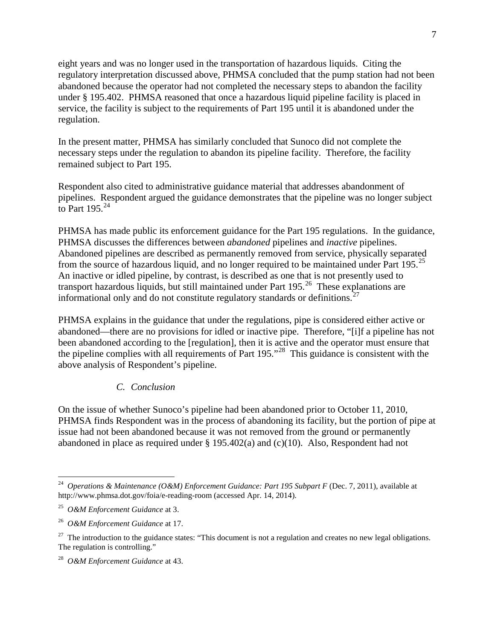eight years and was no longer used in the transportation of hazardous liquids. Citing the regulatory interpretation discussed above, PHMSA concluded that the pump station had not been abandoned because the operator had not completed the necessary steps to abandon the facility under § 195.402. PHMSA reasoned that once a hazardous liquid pipeline facility is placed in service, the facility is subject to the requirements of Part 195 until it is abandoned under the regulation.

In the present matter, PHMSA has similarly concluded that Sunoco did not complete the necessary steps under the regulation to abandon its pipeline facility. Therefore, the facility remained subject to Part 195.

Respondent also cited to administrative guidance material that addresses abandonment of pipelines. Respondent argued the guidance demonstrates that the pipeline was no longer subject to Part  $195.<sup>24</sup>$ 

PHMSA has made public its enforcement guidance for the Part 195 regulations. In the guidance, PHMSA discusses the differences between *abandoned* pipelines and *inactive* pipelines. Abandoned pipelines are described as permanently removed from service, physically separated from the source of hazardous liquid, and no longer required to be maintained under Part 195.<sup>25</sup> An inactive or idled pipeline, by contrast, is described as one that is not presently used to transport hazardous liquids, but still maintained under Part 195.<sup>26</sup> These explanations are informational only and do not constitute regulatory standards or definitions.<sup>27</sup>

PHMSA explains in the guidance that under the regulations, pipe is considered either active or abandoned—there are no provisions for idled or inactive pipe. Therefore, "[i]f a pipeline has not been abandoned according to the [regulation], then it is active and the operator must ensure that the pipeline complies with all requirements of Part  $195.^{28}$  This guidance is consistent with the above analysis of Respondent's pipeline.

## *C. Conclusion*

On the issue of whether Sunoco's pipeline had been abandoned prior to October 11, 2010, PHMSA finds Respondent was in the process of abandoning its facility, but the portion of pipe at issue had not been abandoned because it was not removed from the ground or permanently abandoned in place as required under § 195.402(a) and (c)(10). Also, Respondent had not

 $\overline{a}$ 

<sup>24</sup> *Operations & Maintenance (O&M) Enforcement Guidance: Part 195 Subpart F* (Dec. 7, 2011), available at http://www.phmsa.dot.gov/foia/e-reading-room (accessed Apr. 14, 2014).

<sup>25</sup> *O&M Enforcement Guidance* at 3.

<sup>26</sup> *O&M Enforcement Guidance* at 17.

 $27$  The introduction to the guidance states: "This document is not a regulation and creates no new legal obligations. The regulation is controlling."

<sup>28</sup> *O&M Enforcement Guidance* at 43.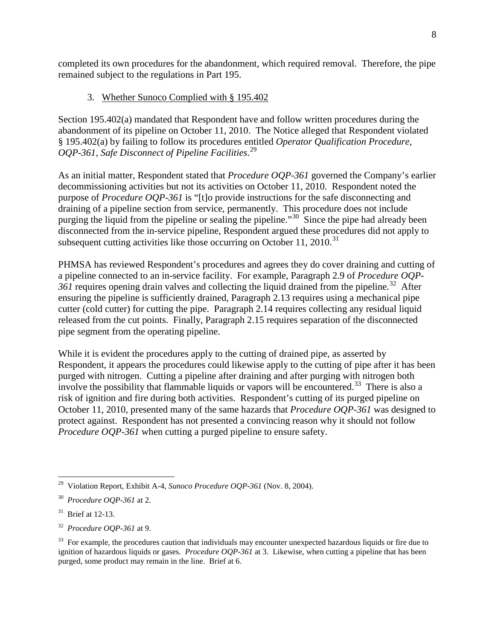completed its own procedures for the abandonment, which required removal. Therefore, the pipe remained subject to the regulations in Part 195.

# 3. Whether Sunoco Complied with § 195.402

Section 195.402(a) mandated that Respondent have and follow written procedures during the abandonment of its pipeline on October 11, 2010. The Notice alleged that Respondent violated § 195.402(a) by failing to follow its procedures entitled *Operator Qualification Procedure, OQP-361, Safe Disconnect of Pipeline Facilities*. 29

As an initial matter, Respondent stated that *Procedure OQP-361* governed the Company's earlier decommissioning activities but not its activities on October 11, 2010. Respondent noted the purpose of *Procedure OQP-361* is "[t]o provide instructions for the safe disconnecting and draining of a pipeline section from service, permanently. This procedure does not include purging the liquid from the pipeline or sealing the pipeline."<sup>30</sup> Since the pipe had already been disconnected from the in-service pipeline, Respondent argued these procedures did not apply to subsequent cutting activities like those occurring on October 11, 2010.<sup>31</sup>

PHMSA has reviewed Respondent's procedures and agrees they do cover draining and cutting of a pipeline connected to an in-service facility. For example, Paragraph 2.9 of *Procedure OQP-*361 requires opening drain valves and collecting the liquid drained from the pipeline.<sup>32</sup> After ensuring the pipeline is sufficiently drained, Paragraph 2.13 requires using a mechanical pipe cutter (cold cutter) for cutting the pipe. Paragraph 2.14 requires collecting any residual liquid released from the cut points. Finally, Paragraph 2.15 requires separation of the disconnected pipe segment from the operating pipeline.

While it is evident the procedures apply to the cutting of drained pipe, as asserted by Respondent, it appears the procedures could likewise apply to the cutting of pipe after it has been purged with nitrogen. Cutting a pipeline after draining and after purging with nitrogen both involve the possibility that flammable liquids or vapors will be encountered.<sup>33</sup> There is also a risk of ignition and fire during both activities. Respondent's cutting of its purged pipeline on October 11, 2010, presented many of the same hazards that *Procedure OQP-361* was designed to protect against. Respondent has not presented a convincing reason why it should not follow *Procedure OQP-361* when cutting a purged pipeline to ensure safety.

 $\overline{a}$ 29 Violation Report, Exhibit A-4, *Sunoco Procedure OQP-361* (Nov. 8, 2004).

<sup>30</sup> *Procedure OQP-361* at 2.

 $31$  Brief at 12-13.

<sup>32</sup> *Procedure OQP-361* at 9.

<sup>&</sup>lt;sup>33</sup> For example, the procedures caution that individuals may encounter unexpected hazardous liquids or fire due to ignition of hazardous liquids or gases. *Procedure OQP-361* at 3. Likewise, when cutting a pipeline that has been purged, some product may remain in the line. Brief at 6.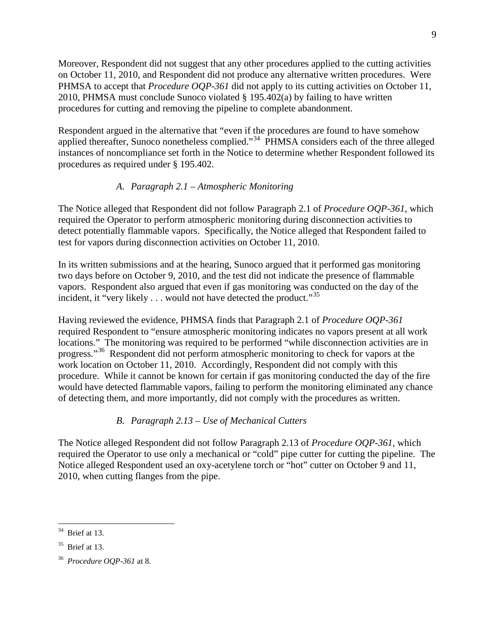Moreover, Respondent did not suggest that any other procedures applied to the cutting activities on October 11, 2010, and Respondent did not produce any alternative written procedures. Were PHMSA to accept that *Procedure OQP-361* did not apply to its cutting activities on October 11, 2010, PHMSA must conclude Sunoco violated § 195.402(a) by failing to have written procedures for cutting and removing the pipeline to complete abandonment.

Respondent argued in the alternative that "even if the procedures are found to have somehow applied thereafter, Sunoco nonetheless complied."<sup>34</sup> PHMSA considers each of the three alleged instances of noncompliance set forth in the Notice to determine whether Respondent followed its procedures as required under § 195.402.

# *A. Paragraph 2.1 – Atmospheric Monitoring*

The Notice alleged that Respondent did not follow Paragraph 2.1 of *Procedure OQP-361*, which required the Operator to perform atmospheric monitoring during disconnection activities to detect potentially flammable vapors. Specifically, the Notice alleged that Respondent failed to test for vapors during disconnection activities on October 11, 2010.

In its written submissions and at the hearing, Sunoco argued that it performed gas monitoring two days before on October 9, 2010, and the test did not indicate the presence of flammable vapors. Respondent also argued that even if gas monitoring was conducted on the day of the incident, it "very likely  $\dots$  would not have detected the product."<sup>35</sup>

Having reviewed the evidence, PHMSA finds that Paragraph 2.1 of *Procedure OQP-361* required Respondent to "ensure atmospheric monitoring indicates no vapors present at all work locations." The monitoring was required to be performed "while disconnection activities are in progress."<sup>36</sup> Respondent did not perform atmospheric monitoring to check for vapors at the work location on October 11, 2010. Accordingly, Respondent did not comply with this procedure. While it cannot be known for certain if gas monitoring conducted the day of the fire would have detected flammable vapors, failing to perform the monitoring eliminated any chance of detecting them, and more importantly, did not comply with the procedures as written.

# *B. Paragraph 2.13 – Use of Mechanical Cutters*

The Notice alleged Respondent did not follow Paragraph 2.13 of *Procedure OQP-361*, which required the Operator to use only a mechanical or "cold" pipe cutter for cutting the pipeline. The Notice alleged Respondent used an oxy-acetylene torch or "hot" cutter on October 9 and 11, 2010, when cutting flanges from the pipe.

 $\overline{a}$  $34$  Brief at 13.

 $35$  Brief at 13.

<sup>36</sup> *Procedure OQP-361* at 8.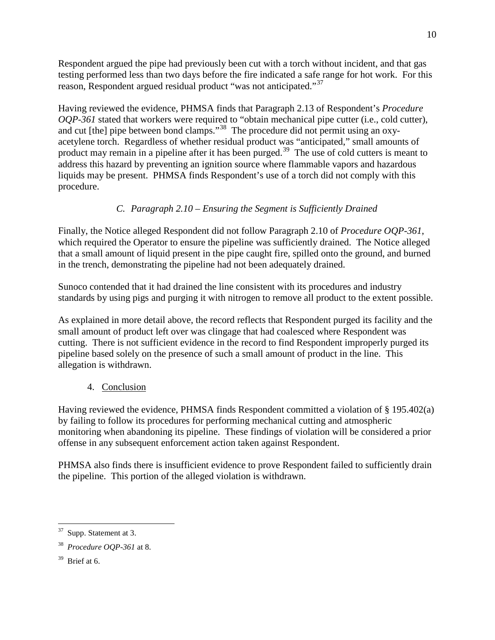Respondent argued the pipe had previously been cut with a torch without incident, and that gas testing performed less than two days before the fire indicated a safe range for hot work. For this reason, Respondent argued residual product "was not anticipated."<sup>37</sup>

Having reviewed the evidence, PHMSA finds that Paragraph 2.13 of Respondent's *Procedure OQP-361* stated that workers were required to "obtain mechanical pipe cutter (i.e., cold cutter), and cut [the] pipe between bond clamps."38 The procedure did not permit using an oxyacetylene torch. Regardless of whether residual product was "anticipated," small amounts of product may remain in a pipeline after it has been purged.<sup>39</sup> The use of cold cutters is meant to address this hazard by preventing an ignition source where flammable vapors and hazardous liquids may be present. PHMSA finds Respondent's use of a torch did not comply with this procedure.

# *C. Paragraph 2.10 – Ensuring the Segment is Sufficiently Drained*

Finally, the Notice alleged Respondent did not follow Paragraph 2.10 of *Procedure OQP-361*, which required the Operator to ensure the pipeline was sufficiently drained. The Notice alleged that a small amount of liquid present in the pipe caught fire, spilled onto the ground, and burned in the trench, demonstrating the pipeline had not been adequately drained.

Sunoco contended that it had drained the line consistent with its procedures and industry standards by using pigs and purging it with nitrogen to remove all product to the extent possible.

As explained in more detail above, the record reflects that Respondent purged its facility and the small amount of product left over was clingage that had coalesced where Respondent was cutting. There is not sufficient evidence in the record to find Respondent improperly purged its pipeline based solely on the presence of such a small amount of product in the line. This allegation is withdrawn.

4. Conclusion

Having reviewed the evidence, PHMSA finds Respondent committed a violation of § 195.402(a) by failing to follow its procedures for performing mechanical cutting and atmospheric monitoring when abandoning its pipeline. These findings of violation will be considered a prior offense in any subsequent enforcement action taken against Respondent.

PHMSA also finds there is insufficient evidence to prove Respondent failed to sufficiently drain the pipeline. This portion of the alleged violation is withdrawn.

 $\overline{a}$  $37$  Supp. Statement at 3.

<sup>38</sup> *Procedure OQP-361* at 8.

 $39$  Brief at 6.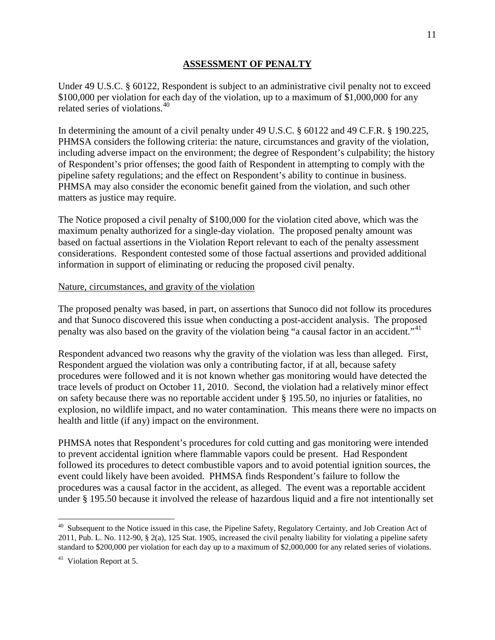#### **ASSESSMENT OF PENALTY**

Under 49 U.S.C. § 60122, Respondent is subject to an administrative civil penalty not to exceed \$100,000 per violation for each day of the violation, up to a maximum of \$1,000,000 for any related series of violations.<sup>40</sup>

In determining the amount of a civil penalty under 49 U.S.C. § 60122 and 49 C.F.R. § 190.225, PHMSA considers the following criteria: the nature, circumstances and gravity of the violation, including adverse impact on the environment; the degree of Respondent's culpability; the history of Respondent's prior offenses; the good faith of Respondent in attempting to comply with the pipeline safety regulations; and the effect on Respondent's ability to continue in business. PHMSA may also consider the economic benefit gained from the violation, and such other matters as justice may require.

The Notice proposed a civil penalty of \$100,000 for the violation cited above, which was the maximum penalty authorized for a single-day violation. The proposed penalty amount was based on factual assertions in the Violation Report relevant to each of the penalty assessment considerations. Respondent contested some of those factual assertions and provided additional information in support of eliminating or reducing the proposed civil penalty.

#### Nature, circumstances, and gravity of the violation

The proposed penalty was based, in part, on assertions that Sunoco did not follow its procedures and that Sunoco discovered this issue when conducting a post-accident analysis. The proposed penalty was also based on the gravity of the violation being "a causal factor in an accident."<sup>41</sup>

Respondent advanced two reasons why the gravity of the violation was less than alleged. First, Respondent argued the violation was only a contributing factor, if at all, because safety procedures were followed and it is not known whether gas monitoring would have detected the trace levels of product on October 11, 2010. Second, the violation had a relatively minor effect on safety because there was no reportable accident under § 195.50, no injuries or fatalities, no explosion, no wildlife impact, and no water contamination. This means there were no impacts on health and little (if any) impact on the environment.

PHMSA notes that Respondent's procedures for cold cutting and gas monitoring were intended to prevent accidental ignition where flammable vapors could be present. Had Respondent followed its procedures to detect combustible vapors and to avoid potential ignition sources, the event could likely have been avoided. PHMSA finds Respondent's failure to follow the procedures was a causal factor in the accident, as alleged. The event was a reportable accident under § 195.50 because it involved the release of hazardous liquid and a fire not intentionally set

 $\overline{a}$ 

<sup>&</sup>lt;sup>40</sup> Subsequent to the Notice issued in this case, the Pipeline Safety, Regulatory Certainty, and Job Creation Act of 2011, Pub. L. No. 112-90, § 2(a), 125 Stat. 1905, increased the civil penalty liability for violating a pipeline safety standard to \$200,000 per violation for each day up to a maximum of \$2,000,000 for any related series of violations.

<sup>41</sup> Violation Report at 5.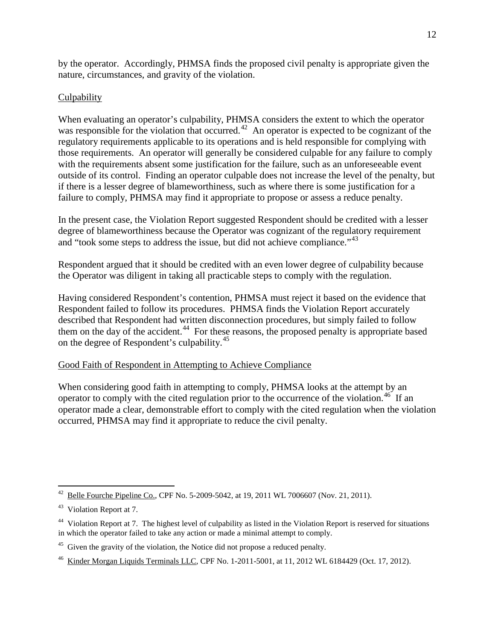by the operator. Accordingly, PHMSA finds the proposed civil penalty is appropriate given the nature, circumstances, and gravity of the violation.

# **Culpability**

When evaluating an operator's culpability, PHMSA considers the extent to which the operator was responsible for the violation that occurred.<sup>42</sup> An operator is expected to be cognizant of the regulatory requirements applicable to its operations and is held responsible for complying with those requirements. An operator will generally be considered culpable for any failure to comply with the requirements absent some justification for the failure, such as an unforeseeable event outside of its control. Finding an operator culpable does not increase the level of the penalty, but if there is a lesser degree of blameworthiness, such as where there is some justification for a failure to comply, PHMSA may find it appropriate to propose or assess a reduce penalty.

In the present case, the Violation Report suggested Respondent should be credited with a lesser degree of blameworthiness because the Operator was cognizant of the regulatory requirement and "took some steps to address the issue, but did not achieve compliance." $43$ 

Respondent argued that it should be credited with an even lower degree of culpability because the Operator was diligent in taking all practicable steps to comply with the regulation.

Having considered Respondent's contention, PHMSA must reject it based on the evidence that Respondent failed to follow its procedures. PHMSA finds the Violation Report accurately described that Respondent had written disconnection procedures, but simply failed to follow them on the day of the accident.<sup>44</sup> For these reasons, the proposed penalty is appropriate based on the degree of Respondent's culpability.<sup>45</sup>

# Good Faith of Respondent in Attempting to Achieve Compliance

When considering good faith in attempting to comply, PHMSA looks at the attempt by an operator to comply with the cited regulation prior to the occurrence of the violation.<sup>46</sup> If an operator made a clear, demonstrable effort to comply with the cited regulation when the violation occurred, PHMSA may find it appropriate to reduce the civil penalty.

 $\overline{a}$ Belle Fourche Pipeline Co., CPF No. 5-2009-5042, at 19, 2011 WL 7006607 (Nov. 21, 2011).

<sup>43</sup> Violation Report at 7.

<sup>&</sup>lt;sup>44</sup> Violation Report at 7. The highest level of culpability as listed in the Violation Report is reserved for situations in which the operator failed to take any action or made a minimal attempt to comply.

<sup>&</sup>lt;sup>45</sup> Given the gravity of the violation, the Notice did not propose a reduced penalty.

<sup>46</sup> Kinder Morgan Liquids Terminals LLC, CPF No. 1-2011-5001, at 11, 2012 WL 6184429 (Oct. 17, 2012).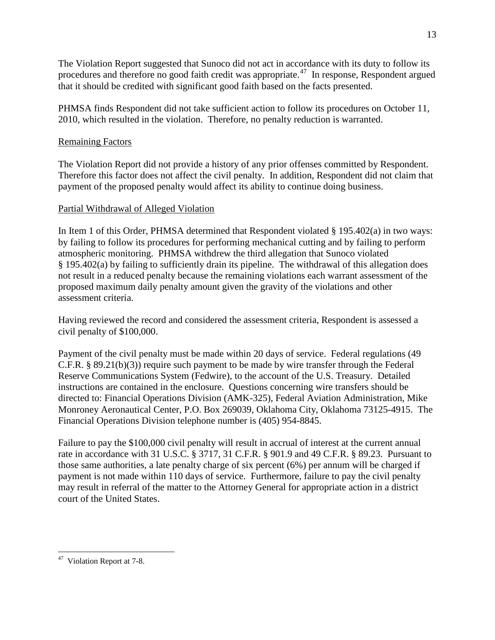The Violation Report suggested that Sunoco did not act in accordance with its duty to follow its procedures and therefore no good faith credit was appropriate.<sup> $47$ </sup> In response, Respondent argued that it should be credited with significant good faith based on the facts presented.

PHMSA finds Respondent did not take sufficient action to follow its procedures on October 11, 2010, which resulted in the violation. Therefore, no penalty reduction is warranted.

# Remaining Factors

The Violation Report did not provide a history of any prior offenses committed by Respondent. Therefore this factor does not affect the civil penalty. In addition, Respondent did not claim that payment of the proposed penalty would affect its ability to continue doing business.

## Partial Withdrawal of Alleged Violation

In Item 1 of this Order, PHMSA determined that Respondent violated § 195.402(a) in two ways: by failing to follow its procedures for performing mechanical cutting and by failing to perform atmospheric monitoring. PHMSA withdrew the third allegation that Sunoco violated § 195.402(a) by failing to sufficiently drain its pipeline. The withdrawal of this allegation does not result in a reduced penalty because the remaining violations each warrant assessment of the proposed maximum daily penalty amount given the gravity of the violations and other assessment criteria.

Having reviewed the record and considered the assessment criteria, Respondent is assessed a civil penalty of \$100,000.

Payment of the civil penalty must be made within 20 days of service. Federal regulations (49 C.F.R. § 89.21(b)(3)) require such payment to be made by wire transfer through the Federal Reserve Communications System (Fedwire), to the account of the U.S. Treasury. Detailed instructions are contained in the enclosure. Questions concerning wire transfers should be directed to: Financial Operations Division (AMK-325), Federal Aviation Administration, Mike Monroney Aeronautical Center, P.O. Box 269039, Oklahoma City, Oklahoma 73125-4915. The Financial Operations Division telephone number is (405) 954-8845.

Failure to pay the \$100,000 civil penalty will result in accrual of interest at the current annual rate in accordance with 31 U.S.C. § 3717, 31 C.F.R. § 901.9 and 49 C.F.R. § 89.23. Pursuant to those same authorities, a late penalty charge of six percent (6%) per annum will be charged if payment is not made within 110 days of service. Furthermore, failure to pay the civil penalty may result in referral of the matter to the Attorney General for appropriate action in a district court of the United States.

 $\overline{a}$ <sup>47</sup> Violation Report at 7-8.